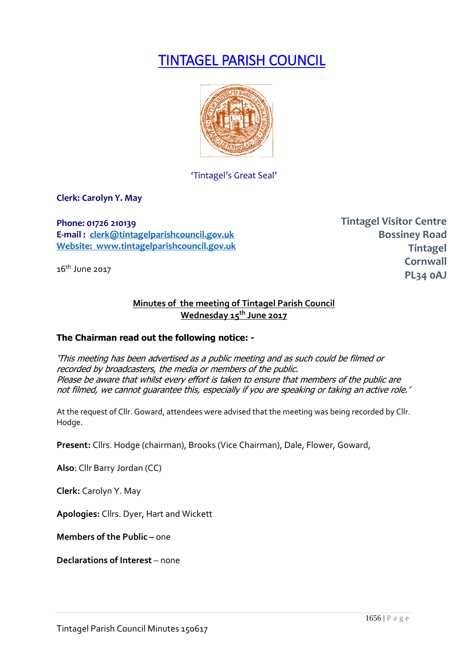# TINTAGEL PARISH COUNCIL



'Tintagel's Great Seal'

**Clerk: Carolyn Y. May**

**Phone: 01726 210139 E-mail : [clerk@tintagelparishcouncil.gov.uk](mailto:clerk@tintagelparishcouncil.gov.uk) Website: www.tintagelparishcouncil.gov.uk**

16<sup>th</sup> June 2017

**Tintagel Visitor Centre Bossiney Road Tintagel Cornwall PL34 0AJ**

# **Minutes of the meeting of Tintagel Parish Council Wednesday 15th June 2017**

### **The Chairman read out the following notice: -**

'This meeting has been advertised as a public meeting and as such could be filmed or recorded by broadcasters, the media or members of the public. Please be aware that whilst every effort is taken to ensure that members of the public are not filmed, we cannot guarantee this, especially if you are speaking or taking an active role.'

At the request of Cllr. Goward, attendees were advised that the meeting was being recorded by Cllr. Hodge.

**Present:** Cllrs. Hodge (chairman), Brooks (Vice Chairman), Dale, Flower, Goward,

**Also**: Cllr Barry Jordan (CC)

**Clerk:** Carolyn Y. May

**Apologies:** Cllrs. Dyer, Hart and Wickett

**Members of the Public –** one

**Declarations of Interest** – none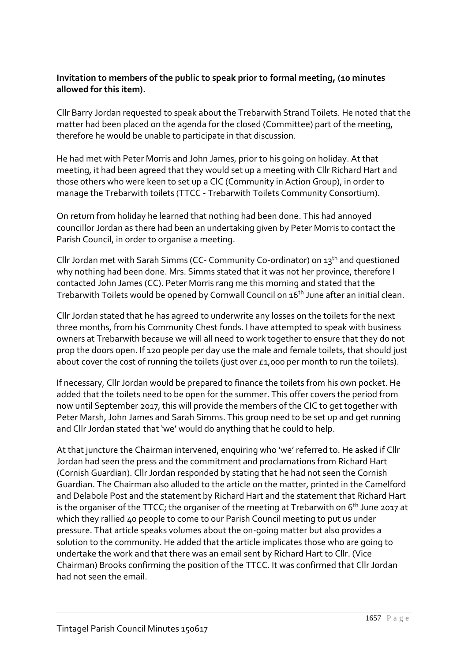## **Invitation to members of the public to speak prior to formal meeting, (10 minutes allowed for this item).**

Cllr Barry Jordan requested to speak about the Trebarwith Strand Toilets. He noted that the matter had been placed on the agenda for the closed (Committee) part of the meeting, therefore he would be unable to participate in that discussion.

He had met with Peter Morris and John James, prior to his going on holiday. At that meeting, it had been agreed that they would set up a meeting with Cllr Richard Hart and those others who were keen to set up a CIC (Community in Action Group), in order to manage the Trebarwith toilets (TTCC - Trebarwith Toilets Community Consortium).

On return from holiday he learned that nothing had been done. This had annoyed councillor Jordan as there had been an undertaking given by Peter Morris to contact the Parish Council, in order to organise a meeting.

Cllr Jordan met with Sarah Simms (CC- Community Co-ordinator) on 13<sup>th</sup> and questioned why nothing had been done. Mrs. Simms stated that it was not her province, therefore I contacted John James (CC). Peter Morris rang me this morning and stated that the Trebarwith Toilets would be opened by Cornwall Council on 16<sup>th</sup> June after an initial clean.

Cllr Jordan stated that he has agreed to underwrite any losses on the toilets for the next three months, from his Community Chest funds. I have attempted to speak with business owners at Trebarwith because we will all need to work together to ensure that they do not prop the doors open. If 120 people per day use the male and female toilets, that should just about cover the cost of running the toilets (just over £1,000 per month to run the toilets).

If necessary, Cllr Jordan would be prepared to finance the toilets from his own pocket. He added that the toilets need to be open for the summer. This offer covers the period from now until September 2017, this will provide the members of the CIC to get together with Peter Marsh, John James and Sarah Simms. This group need to be set up and get running and Cllr Jordan stated that 'we' would do anything that he could to help.

At that juncture the Chairman intervened, enquiring who 'we' referred to. He asked if Cllr Jordan had seen the press and the commitment and proclamations from Richard Hart (Cornish Guardian). Cllr Jordan responded by stating that he had not seen the Cornish Guardian. The Chairman also alluded to the article on the matter, printed in the Camelford and Delabole Post and the statement by Richard Hart and the statement that Richard Hart is the organiser of the TTCC; the organiser of the meeting at Trebarwith on  $6<sup>th</sup>$  June 2017 at which they rallied 40 people to come to our Parish Council meeting to put us under pressure. That article speaks volumes about the on-going matter but also provides a solution to the community. He added that the article implicates those who are going to undertake the work and that there was an email sent by Richard Hart to Cllr. (Vice Chairman) Brooks confirming the position of the TTCC. It was confirmed that Cllr Jordan had not seen the email.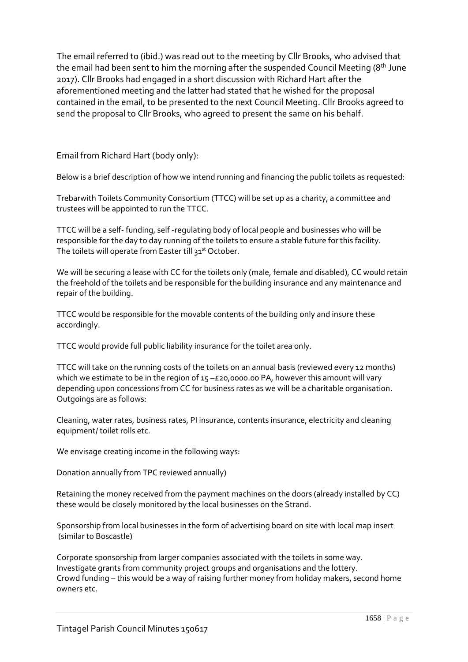The email referred to (ibid.) was read out to the meeting by Cllr Brooks, who advised that the email had been sent to him the morning after the suspended Council Meeting ( $8<sup>th</sup>$  June 2017). Cllr Brooks had engaged in a short discussion with Richard Hart after the aforementioned meeting and the latter had stated that he wished for the proposal contained in the email, to be presented to the next Council Meeting. Cllr Brooks agreed to send the proposal to Cllr Brooks, who agreed to present the same on his behalf.

Email from Richard Hart (body only):

Below is a brief description of how we intend running and financing the public toilets as requested:

Trebarwith Toilets Community Consortium (TTCC) will be set up as a charity, a committee and trustees will be appointed to run the TTCC.

TTCC will be a self- funding, self -regulating body of local people and businesses who will be responsible for the day to day running of the toilets to ensure a stable future for this facility. The toilets will operate from Easter till 31st October.

We will be securing a lease with CC for the toilets only (male, female and disabled), CC would retain the freehold of the toilets and be responsible for the building insurance and any maintenance and repair of the building.

TTCC would be responsible for the movable contents of the building only and insure these accordingly.

TTCC would provide full public liability insurance for the toilet area only.

TTCC will take on the running costs of the toilets on an annual basis (reviewed every 12 months) which we estimate to be in the region of 15-£20,0000.00 PA, however this amount will vary depending upon concessions from CC for business rates as we will be a charitable organisation. Outgoings are as follows:

Cleaning, water rates, business rates, PI insurance, contents insurance, electricity and cleaning equipment/ toilet rolls etc.

We envisage creating income in the following ways:

Donation annually from TPC reviewed annually)

Retaining the money received from the payment machines on the doors (already installed by CC) these would be closely monitored by the local businesses on the Strand.

Sponsorship from local businesses in the form of advertising board on site with local map insert (similar to Boscastle)

Corporate sponsorship from larger companies associated with the toilets in some way. Investigate grants from community project groups and organisations and the lottery. Crowd funding – this would be a way of raising further money from holiday makers, second home owners etc.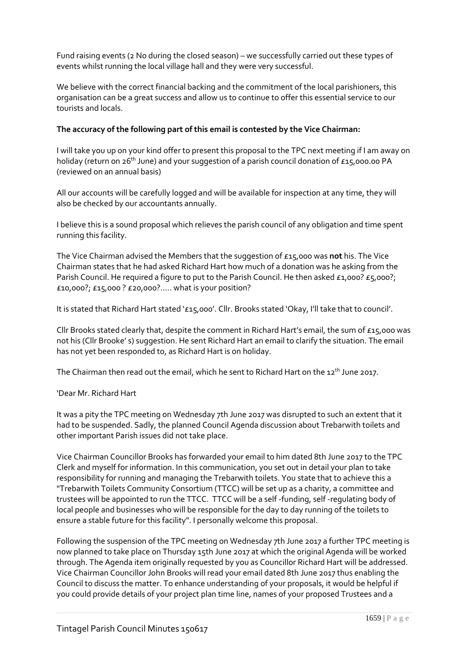Fund raising events (2 No during the closed season) – we successfully carried out these types of events whilst running the local village hall and they were very successful.

We believe with the correct financial backing and the commitment of the local parishioners, this organisation can be a great success and allow us to continue to offer this essential service to our tourists and locals.

#### **The accuracy of the following part of this email is contested by the Vice Chairman:**

I will take you up on your kind offer to present this proposal to the TPC next meeting if I am away on holiday (return on 26<sup>th</sup> June) and your suggestion of a parish council donation of £15,000.00 PA (reviewed on an annual basis)

All our accounts will be carefully logged and will be available for inspection at any time, they will also be checked by our accountants annually.

I believe this is a sound proposal which relieves the parish council of any obligation and time spent running this facility.

The Vice Chairman advised the Members that the suggestion of £15,000 was **not** his. The Vice Chairman states that he had asked Richard Hart how much of a donation was he asking from the Parish Council. He required a figure to put to the Parish Council. He then asked £1,000? £5,000?; £10,000?; £15,000 ? £20,000?..... what is your position?

It is stated that Richard Hart stated '£15,000'. Cllr. Brooks stated 'Okay, I'll take that to council'.

Cllr Brooks stated clearly that, despite the comment in Richard Hart's email, the sum of  $\epsilon$ 15,000 was not his (Cllr Brooke' s) suggestion. He sent Richard Hart an email to clarify the situation. The email has not yet been responded to, as Richard Hart is on holiday.

The Chairman then read out the email, which he sent to Richard Hart on the 12<sup>th</sup> June 2017.

#### 'Dear Mr. Richard Hart

It was a pity the TPC meeting on Wednesday 7th June 2017 was disrupted to such an extent that it had to be suspended. Sadly, the planned Council Agenda discussion about Trebarwith toilets and other important Parish issues did not take place.

Vice Chairman Councillor Brooks has forwarded your email to him dated 8th June 2017 to the TPC Clerk and myself for information. In this communication, you set out in detail your plan to take responsibility for running and managing the Trebarwith toilets. You state that to achieve this a "Trebarwith Toilets Community Consortium (TTCC) will be set up as a charity, a committee and trustees will be appointed to run the TTCC. TTCC will be a self -funding, self -regulating body of local people and businesses who will be responsible for the day to day running of the toilets to ensure a stable future for this facility". I personally welcome this proposal.

Following the suspension of the TPC meeting on Wednesday 7th June 2017 a further TPC meeting is now planned to take place on Thursday 15th June 2017 at which the original Agenda will be worked through. The Agenda item originally requested by you as Councillor Richard Hart will be addressed. Vice Chairman Councillor John Brooks will read your email dated 8th June 2017 thus enabling the Council to discuss the matter. To enhance understanding of your proposals, it would be helpful if you could provide details of your project plan time line, names of your proposed Trustees and a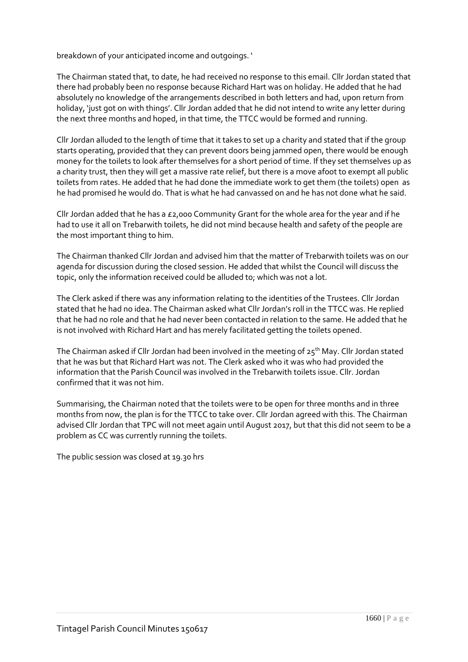breakdown of your anticipated income and outgoings. '

The Chairman stated that, to date, he had received no response to this email. Cllr Jordan stated that there had probably been no response because Richard Hart was on holiday. He added that he had absolutely no knowledge of the arrangements described in both letters and had, upon return from holiday, 'just got on with things'. Cllr Jordan added that he did not intend to write any letter during the next three months and hoped, in that time, the TTCC would be formed and running.

Cllr Jordan alluded to the length of time that it takes to set up a charity and stated that if the group starts operating, provided that they can prevent doors being jammed open, there would be enough money for the toilets to look after themselves for a short period of time. If they set themselves up as a charity trust, then they will get a massive rate relief, but there is a move afoot to exempt all public toilets from rates. He added that he had done the immediate work to get them (the toilets) open as he had promised he would do. That is what he had canvassed on and he has not done what he said.

Cllr Jordan added that he has a  $£2,000$  Community Grant for the whole area for the year and if he had to use it all on Trebarwith toilets, he did not mind because health and safety of the people are the most important thing to him.

The Chairman thanked Cllr Jordan and advised him that the matter of Trebarwith toilets was on our agenda for discussion during the closed session. He added that whilst the Council will discuss the topic, only the information received could be alluded to; which was not a lot.

The Clerk asked if there was any information relating to the identities of the Trustees. Cllr Jordan stated that he had no idea. The Chairman asked what Cllr Jordan's roll in the TTCC was. He replied that he had no role and that he had never been contacted in relation to the same. He added that he is not involved with Richard Hart and has merely facilitated getting the toilets opened.

The Chairman asked if Cllr Jordan had been involved in the meeting of 25<sup>th</sup> May. Cllr Jordan stated that he was but that Richard Hart was not. The Clerk asked who it was who had provided the information that the Parish Council was involved in the Trebarwith toilets issue. Cllr. Jordan confirmed that it was not him.

Summarising, the Chairman noted that the toilets were to be open for three months and in three months from now, the plan is for the TTCC to take over. Cllr Jordan agreed with this. The Chairman advised Cllr Jordan that TPC will not meet again until August 2017, but that this did not seem to be a problem as CC was currently running the toilets.

The public session was closed at 19.30 hrs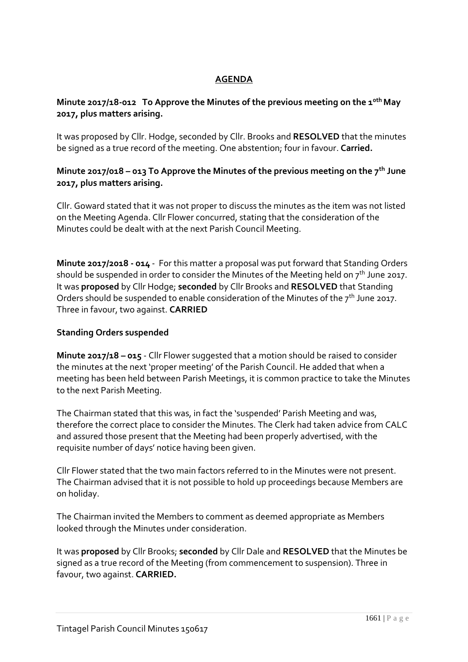# **AGENDA**

# **Minute 2017/18-012 To Approve the Minutes of the previous meeting on the 10th May 2017, plus matters arising.**

It was proposed by Cllr. Hodge, seconded by Cllr. Brooks and **RESOLVED** that the minutes be signed as a true record of the meeting. One abstention; four in favour. **Carried.**

# **Minute 2017/018 – 013 To Approve the Minutes of the previous meeting on the 7th June 2017, plus matters arising.**

Cllr. Goward stated that it was not proper to discuss the minutes as the item was not listed on the Meeting Agenda. Cllr Flower concurred, stating that the consideration of the Minutes could be dealt with at the next Parish Council Meeting.

**Minute 2017/2018 - 014** - For this matter a proposal was put forward that Standing Orders should be suspended in order to consider the Minutes of the Meeting held on  $7<sup>th</sup>$  June 2017. It was **proposed** by Cllr Hodge; **seconded** by Cllr Brooks and **RESOLVED** that Standing Orders should be suspended to enable consideration of the Minutes of the 7<sup>th</sup> June 2017. Three in favour, two against. **CARRIED**

# **Standing Orders suspended**

**Minute 2017/18 – 015** - Cllr Flower suggested that a motion should be raised to consider the minutes at the next 'proper meeting' of the Parish Council. He added that when a meeting has been held between Parish Meetings, it is common practice to take the Minutes to the next Parish Meeting.

The Chairman stated that this was, in fact the 'suspended' Parish Meeting and was, therefore the correct place to consider the Minutes. The Clerk had taken advice from CALC and assured those present that the Meeting had been properly advertised, with the requisite number of days' notice having been given.

Cllr Flower stated that the two main factors referred to in the Minutes were not present. The Chairman advised that it is not possible to hold up proceedings because Members are on holiday.

The Chairman invited the Members to comment as deemed appropriate as Members looked through the Minutes under consideration.

It was **proposed** by Cllr Brooks; **seconded** by Cllr Dale and **RESOLVED** that the Minutes be signed as a true record of the Meeting (from commencement to suspension). Three in favour, two against. **CARRIED.**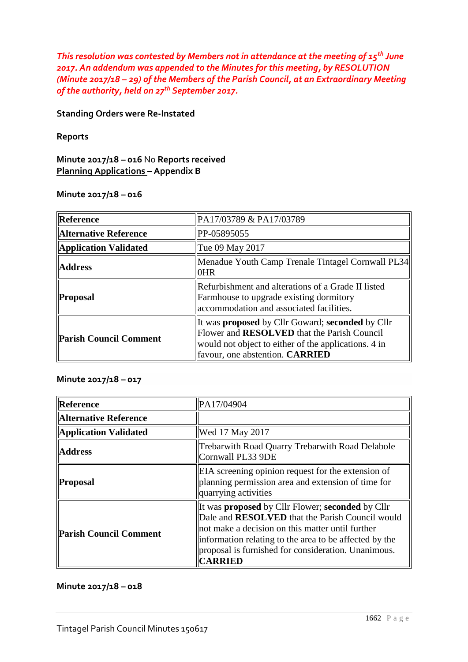*This resolution was contested by Members not in attendance at the meeting of 15th June 2017. An addendum was appended to the Minutes for this meeting, by RESOLUTION (Minute 2017/18 – 29) of the Members of the Parish Council, at an Extraordinary Meeting of the authority, held on 27th September 2017.*

**Standing Orders were Re-Instated**

#### **Reports**

**Minute 2017/18 – 016** No **Reports received Planning Applications – Appendix B**

**Minute 2017/18 – 016**

| Reference                     | PA17/03789 & PA17/03789                                                                                                                                                                                                |
|-------------------------------|------------------------------------------------------------------------------------------------------------------------------------------------------------------------------------------------------------------------|
| <b>Alternative Reference</b>  | PP-05895055                                                                                                                                                                                                            |
| Application Validated         | Tue 09 May 2017                                                                                                                                                                                                        |
| <b>Address</b>                | Menadue Youth Camp Trenale Tintagel Cornwall PL34<br>0HR                                                                                                                                                               |
| <b>Proposal</b>               | Refurbishment and alterations of a Grade II listed<br>Farmhouse to upgrade existing dormitory<br>accommodation and associated facilities.                                                                              |
| <b>Parish Council Comment</b> | It was <b>proposed</b> by Cllr Goward; <b>seconded</b> by Cllr<br>Flower and <b>RESOLVED</b> that the Parish Council<br>would not object to either of the applications. 4 in<br>favour, one abstention. <b>CARRIED</b> |

**Minute 2017/18 – 017**

| Reference              | PA17/04904                                                                                                                                                                                                                                                                                        |
|------------------------|---------------------------------------------------------------------------------------------------------------------------------------------------------------------------------------------------------------------------------------------------------------------------------------------------|
| Alternative Reference  |                                                                                                                                                                                                                                                                                                   |
| Application Validated  | Wed 17 May 2017                                                                                                                                                                                                                                                                                   |
| <b>Address</b>         | <b>Trebarwith Road Quarry Trebarwith Road Delabole</b><br>Cornwall PL33 9DE                                                                                                                                                                                                                       |
| Proposal               | EIA screening opinion request for the extension of<br>planning permission area and extension of time for<br>quarrying activities                                                                                                                                                                  |
| Parish Council Comment | It was <b>proposed</b> by Cllr Flower; seconded by Cllr<br>Dale and <b>RESOLVED</b> that the Parish Council would<br>not make a decision on this matter until further<br>information relating to the area to be affected by the<br>proposal is furnished for consideration. Unanimous.<br>CARRIED |

#### **Minute 2017/18 – 018**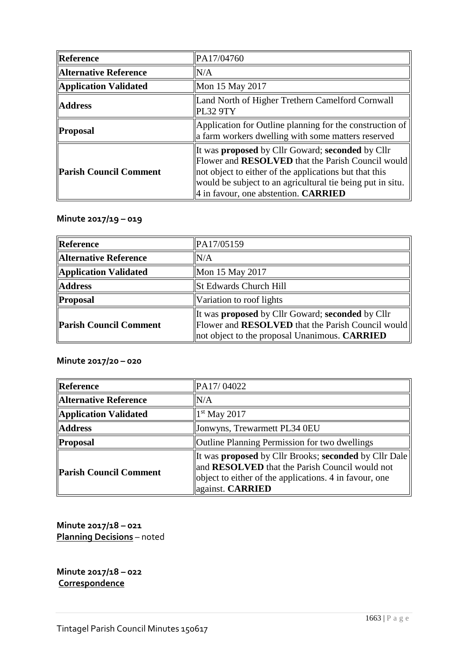| <b>Reference</b>             | PA17/04760                                                                                                                                                                                                                                                                                             |
|------------------------------|--------------------------------------------------------------------------------------------------------------------------------------------------------------------------------------------------------------------------------------------------------------------------------------------------------|
| <b>Alternative Reference</b> | N/A                                                                                                                                                                                                                                                                                                    |
| Application Validated        | Mon 15 May 2017                                                                                                                                                                                                                                                                                        |
| <b>Address</b>               | Land North of Higher Trethern Camelford Cornwall<br><b>PL32 9TY</b>                                                                                                                                                                                                                                    |
| <b>Proposal</b>              | Application for Outline planning for the construction of<br>a farm workers dwelling with some matters reserved                                                                                                                                                                                         |
| Parish Council Comment       | It was <b>proposed</b> by Cllr Goward; <b>seconded</b> by Cllr<br>Flower and <b>RESOLVED</b> that the Parish Council would<br>not object to either of the applications but that this<br>would be subject to an agricultural tie being put in situ.<br>$\ $ 4 in favour, one abstention. <b>CARRIED</b> |

## **Minute 2017/19 – 019**

| Reference                     | PA17/05159                                                                                                                                                                         |
|-------------------------------|------------------------------------------------------------------------------------------------------------------------------------------------------------------------------------|
| <b>Alternative Reference</b>  | N/A                                                                                                                                                                                |
| Application Validated         | Mon 15 May 2017                                                                                                                                                                    |
| <b>Address</b>                | <b>St Edwards Church Hill</b>                                                                                                                                                      |
| Proposal                      | Variation to roof lights                                                                                                                                                           |
| <b>Parish Council Comment</b> | It was <b>proposed</b> by Cllr Goward; <b>seconded</b> by Cllr<br>Flower and <b>RESOLVED</b> that the Parish Council would<br>not object to the proposal Unanimous. <b>CARRIED</b> |

# **Minute 2017/20 – 020**

| Reference              | PA17/04022                                                                                                                                                                                                 |
|------------------------|------------------------------------------------------------------------------------------------------------------------------------------------------------------------------------------------------------|
| Alternative Reference  | N/A                                                                                                                                                                                                        |
| Application Validated  | $\parallel$ 1 <sup>st</sup> May 2017                                                                                                                                                                       |
| <b>Address</b>         | Jonwyns, Trewarmett PL34 0EU                                                                                                                                                                               |
| Proposal               | <b>Outline Planning Permission for two dwellings</b>                                                                                                                                                       |
| Parish Council Comment | <b>II was proposed by Cllr Brooks; seconded by Cllr Dale</b><br>and <b>RESOLVED</b> that the Parish Council would not<br>object to either of the applications. 4 in favour, one<br>against. <b>CARRIED</b> |

**Minute 2017/18 – 021 Planning Decisions** – noted

**Minute 2017/18 – 022 Correspondence**